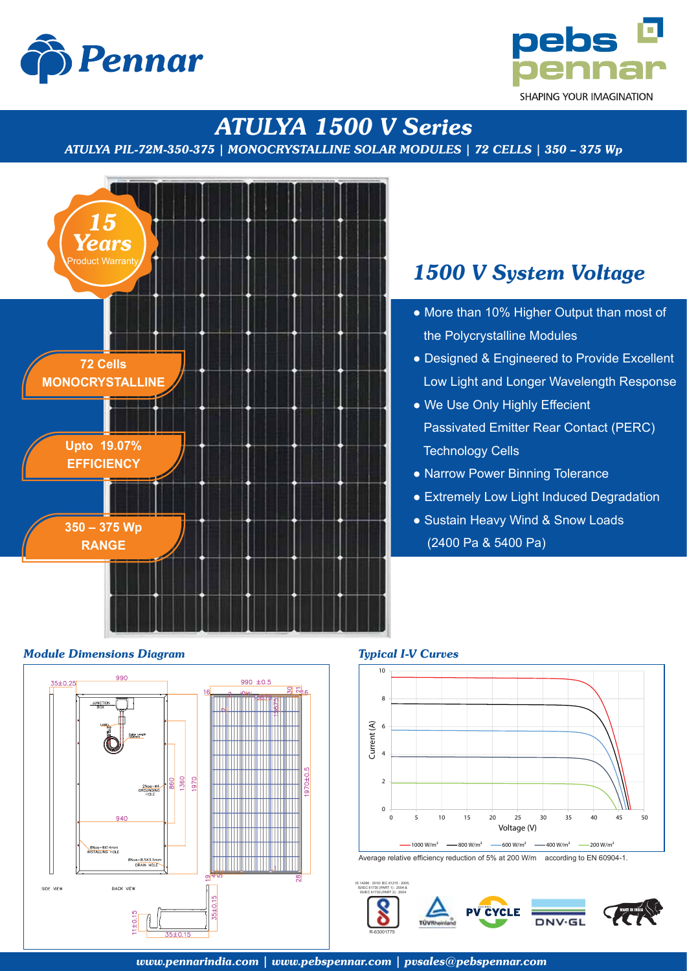



## *ATULYA 1500 V Series*

*ATULYA PIL-72M-350-375 | MONOCRYSTALLINE SOLAR MODULES | 72 CELLS | 350 – 375 Wp*



## *Module Dimensions Diagram Typical I-V Curves*



## *1500 V System Voltage*

- More than 10% Higher Output than most of the Polycrystalline Modules
- Designed & Engineered to Provide Excellent Low Light and Longer Wavelength Response
- We Use Only Highly Effecient Passivated Emitter Rear Contact (PERC) Technology Cells
- Narrow Power Binning Tolerance
- Extremely Low Light Induced Degradation
- Sustain Heavy Wind & Snow Loads (2400 Pa & 5400 Pa)



Average relative efficiency reduction of 5% at 200 W/m according to EN 60904-1.